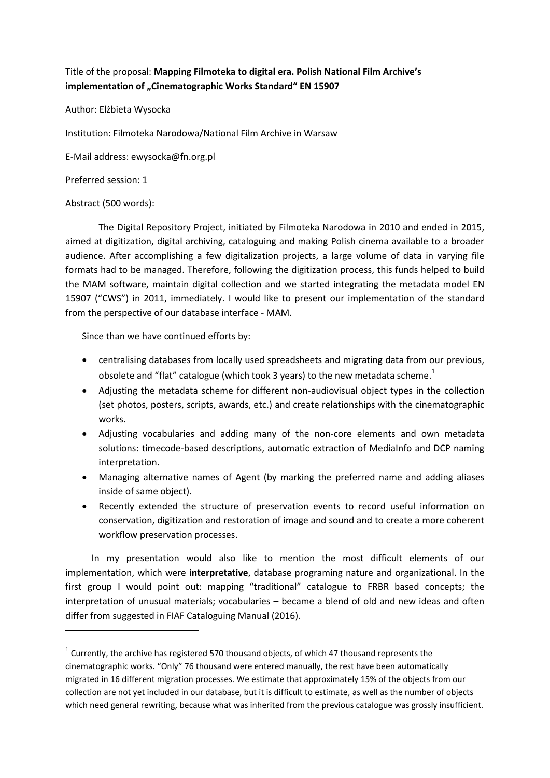## Title of the proposal: **Mapping Filmoteka to digital era. Polish National Film Archive's**  implementation of "Cinematographic Works Standard" EN 15907

Author: Elżbieta Wysocka

Institution: Filmoteka Narodowa/National Film Archive in Warsaw

E-Mail address: ewysocka@fn.org.pl

Preferred session: 1

## Abstract (500 words):

**.** 

The Digital Repository Project, initiated by Filmoteka Narodowa in 2010 and ended in 2015, aimed at digitization, digital archiving, cataloguing and making Polish cinema available to a broader audience. After accomplishing a few digitalization projects, a large volume of data in varying file formats had to be managed. Therefore, following the digitization process, this funds helped to build the MAM software, maintain digital collection and we started integrating the metadata model EN 15907 ("CWS") in 2011, immediately. I would like to present our implementation of the standard from the perspective of our database interface - MAM.

Since than we have continued efforts by:

- centralising databases from locally used spreadsheets and migrating data from our previous, obsolete and "flat" catalogue (which took 3 years) to the new metadata scheme.<sup>1</sup>
- Adjusting the metadata scheme for different non-audiovisual object types in the collection (set photos, posters, scripts, awards, etc.) and create relationships with the cinematographic works.
- Adjusting vocabularies and adding many of the non-core elements and own metadata solutions: timecode-based descriptions, automatic extraction of MediaInfo and DCP naming interpretation.
- Managing alternative names of Agent (by marking the preferred name and adding aliases inside of same object).
- Recently extended the structure of preservation events to record useful information on conservation, digitization and restoration of image and sound and to create a more coherent workflow preservation processes.

In my presentation would also like to mention the most difficult elements of our implementation, which were **interpretative**, database programing nature and organizational. In the first group I would point out: mapping "traditional" catalogue to FRBR based concepts; the interpretation of unusual materials; vocabularies – became a blend of old and new ideas and often differ from suggested in FIAF Cataloguing Manual (2016).

 $^1$  Currently, the archive has registered 570 thousand objects, of which 47 thousand represents the cinematographic works. "Only" 76 thousand were entered manually, the rest have been automatically migrated in 16 different migration processes. We estimate that approximately 15% of the objects from our collection are not yet included in our database, but it is difficult to estimate, as well as the number of objects which need general rewriting, because what was inherited from the previous catalogue was grossly insufficient.